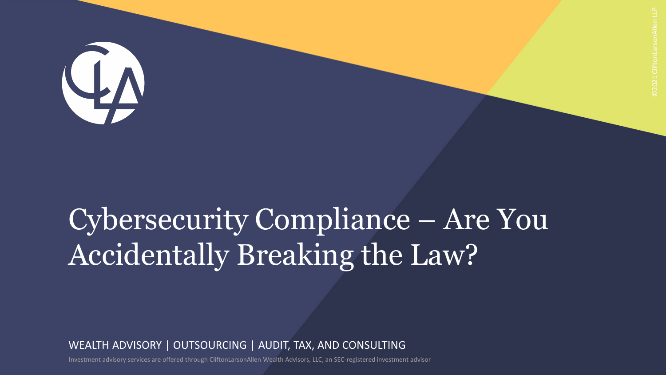

# Cybersecurity Compliance – Are You Accidentally Breaking the Law?

WEALTH ADVISORY | OUTSOURCING | AUDIT, TAX, AND CONSULTING

Investment advisory services are offered through CliftonLarsonAllen Wealth Advisors, LLC, an SEC-registered investment advisor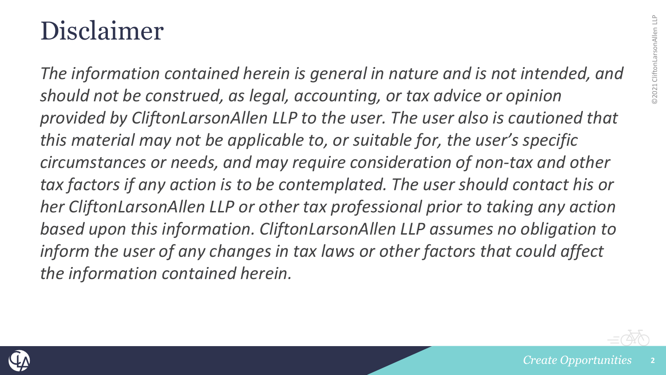#### Disclaimer

*The information contained herein is general in nature and is not intended, and should not be construed, as legal, accounting, or tax advice or opinion provided by CliftonLarsonAllen LLP to the user. The user also is cautioned that this material may not be applicable to, or suitable for, the user's specific circumstances or needs, and may require consideration of non-tax and other tax factors if any action is to be contemplated. The user should contact his or her CliftonLarsonAllen LLP or other tax professional prior to taking any action based upon this information. CliftonLarsonAllen LLP assumes no obligation to inform the user of any changes in tax laws or other factors that could affect the information contained herein.*

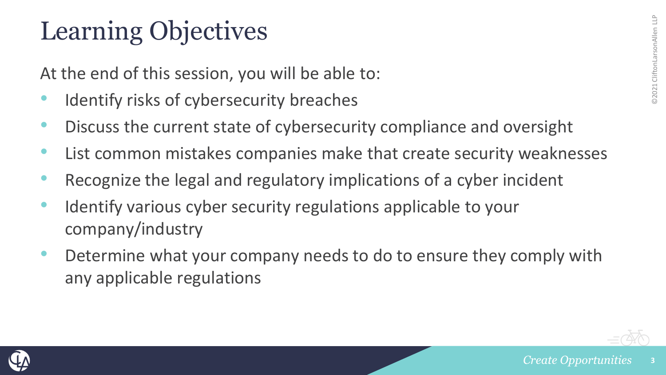#### Learning Objectives

At the end of this session, you will be able to:

- Identify risks of cybersecurity breaches
- Discuss the current state of cybersecurity compliance and oversight
- List common mistakes companies make that create security weaknesses
- Recognize the legal and regulatory implications of a cyber incident
- Identify various cyber security regulations applicable to your company/industry
- Determine what your company needs to do to ensure they comply with any applicable regulations



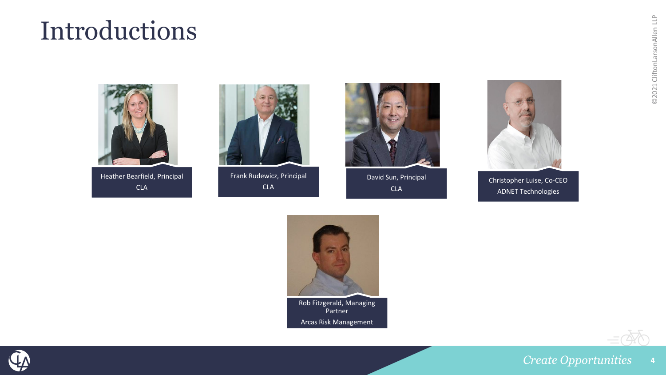#### Introductions





Frank Rudewicz, Principal CLA



David Sun, Principal CLA



Christopher Luise, Co-CEO ADNET Technologies



Rob Fitzgerald, Managing Partner Arcas Risk Management



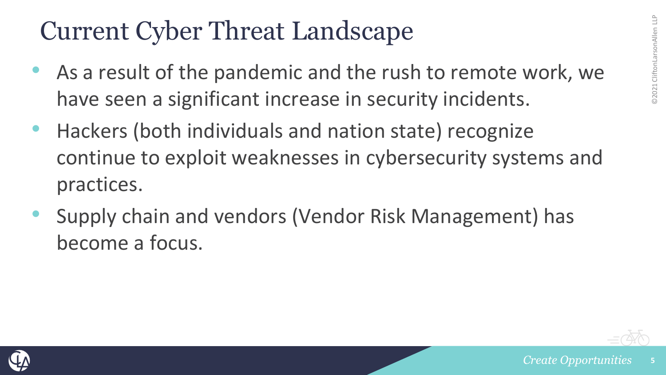#### Current Cyber Threat Landscape

- As a result of the pandemic and the rush to remote work, we have seen a significant increase in security incidents.
- Hackers (both individuals and nation state) recognize continue to exploit weaknesses in cybersecurity systems and practices.
- Supply chain and vendors (Vendor Risk Management) has become a focus.

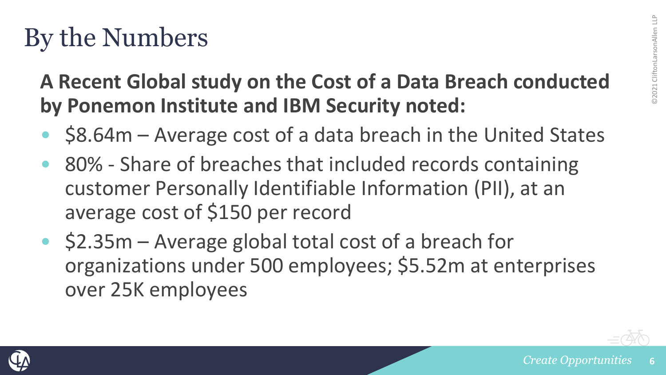#### By the Numbers

#### **A Recent Global study on the Cost of a Data Breach conducted by Ponemon Institute and IBM Security noted:**

- \$8.64m Average cost of a data breach in the United States
- 80% Share of breaches that included records containing customer Personally Identifiable Information (PII), at an average cost of \$150 per record
- \$2.35m Average global total cost of a breach for organizations under 500 employees; \$5.52m at enterprises over 25K employees

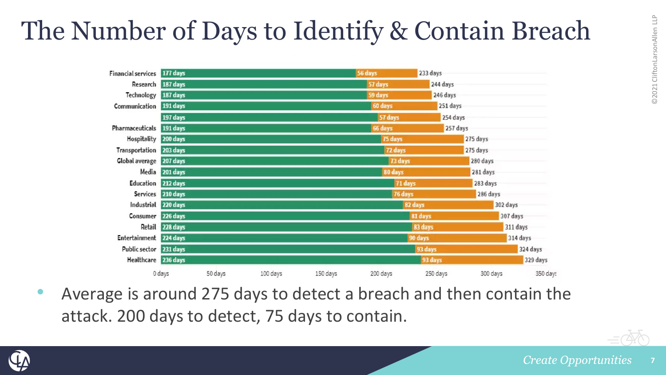## The Number of Days to Identify & Contain Breach

| Financial services 177 days |                    |         |          |          | 56 days  | 233 days |          |          |
|-----------------------------|--------------------|---------|----------|----------|----------|----------|----------|----------|
|                             | Research 187 days  |         |          |          | 57 days  | 244 days |          |          |
| Technology                  | 187 days           |         |          |          | 59 days  | 246 days |          |          |
| Communication               | 191 days           |         |          |          | 60 days  | 251 days |          |          |
|                             | 197 days           |         |          |          | 57 days  | 254 days |          |          |
| Pharmaceuticals 191 days    |                    |         |          |          | 66 days  | 257 days |          |          |
| Hospitality 200 days        |                    |         |          |          | 75 days  |          | 275 days |          |
| Transportation 203 days     |                    |         |          |          | 72 days  |          | 275 days |          |
| Global average 207 days     |                    |         |          |          | 73 days  |          | 280 days |          |
|                             | Media 201 days     |         |          |          | 80 days  |          | 281 days |          |
|                             | Education 212 days |         |          |          | 71 days  |          | 283 days |          |
|                             | Services 210 days  |         |          |          | 76 days  |          | 286 days |          |
| Industrial 220 days         |                    |         |          | 82 days  |          | 302 days |          |          |
| Consumer                    | 226 days           |         |          | 81 days  |          | 307 days |          |          |
|                             | Retail 228 days    |         |          |          | 83 days  | 311 days |          |          |
| Entertainment 224 days      |                    |         |          | 90 days  |          | 314 days |          |          |
| Public sector 231 days      |                    |         |          |          |          | 93 days  |          | 324 days |
| Healthcare 236 days         |                    |         |          |          |          | 93 days  |          | 329 days |
|                             | 0 days             | 50 days | 100 days | 150 days | 200 days | 250 days | 300 days | 350 day  |

• Average is around 275 days to detect a breach and then contain the attack. 200 days to detect, 75 days to contain.



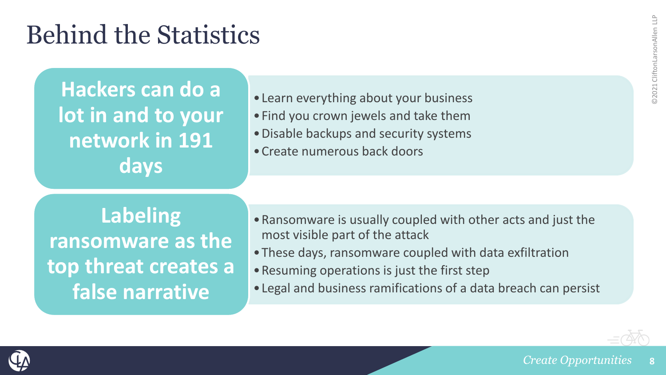#### Behind the Statistics

**Hackers can do a lot in and to your network in 191 days**

- •Learn everything about your business
- •Find you crown jewels and take them
- •Disable backups and security systems
- •Create numerous back doors

**Labeling ransomware as the top threat creates a false narrative**

- •Ransomware is usually coupled with other acts and just the most visible part of the attack
- •These days, ransomware coupled with data exfiltration
- •Resuming operations is just the first step
- •Legal and business ramifications of a data breach can persist

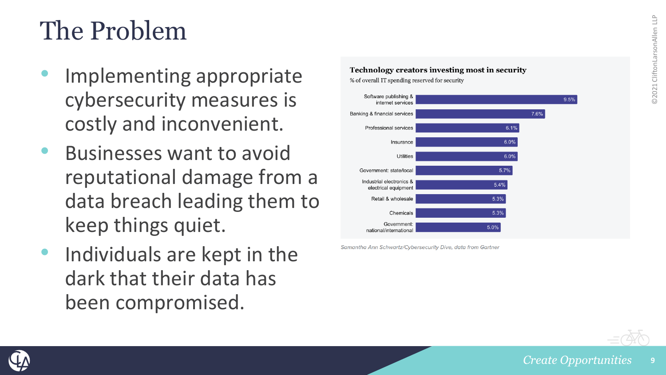#### The Problem

- Implementing appropriate cybersecurity measures is costly and inconvenient.
- Businesses want to avoid reputational damage from a data breach leading them to keep things quiet.
- Individuals are kept in the dark that their data has been compromised.



Samantha Ann Schwartz/Cybersecurity Dive, data from Gartner

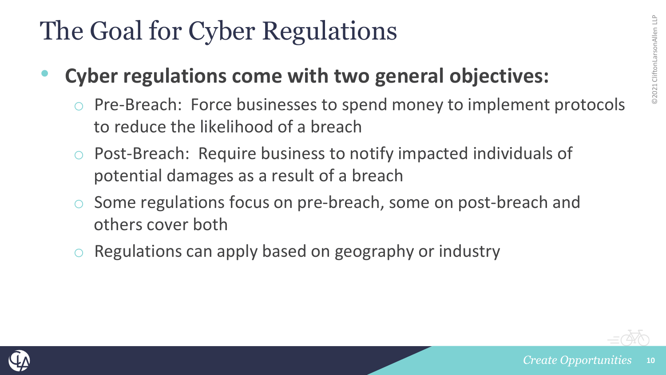#### The Goal for Cyber Regulations

- **Cyber regulations come with two general objectives:**
	- o Pre-Breach: Force businesses to spend money to implement protocols to reduce the likelihood of a breach
	- o Post-Breach: Require business to notify impacted individuals of potential damages as a result of a breach
	- Some regulations focus on pre-breach, some on post-breach and others cover both
	- Regulations can apply based on geography or industry

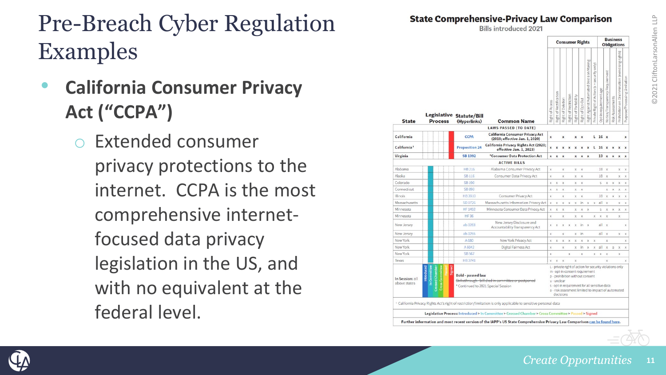#### Pre -Breach Cyber Regulation Examples

- **California Consumer Privacy Act ("CCPA")**
	- Extended consumer privacy protections to the internet. CCPA is the most comprehensive internet focused data privacy legislation in the US, and with no equivalent at the federal level.

**State Comprehensive-Privacy Law Comparison Bills introduced 2021 Rusiness Consumer Rights Obligations** Legislative Statute/Bill **State Process** (Hyperlinks) **Common Name LAWS PASSED (TO DATE) California Consumer Privacy Act** California CCPA  $x \times L$  16  $x$  $\mathbf{x}$ (2018; effective Jan. 1, 2020) **California Privacy Rights Act (2020;** California<sup>1</sup> **Proposition 24 x x x L 16 x x x x** effective Jan. 1, 2023) Virginia **SB 1392** \*Consumer Data Protection Act  $x \times$ 13 x x x x  $x \times x$ **ACTIVE BILLS** Alabama HB 216 Alabama Consumer Privacy Act 18 x  $x$ x x  $X$   $X$ **SB116** Consumer Data Privacy Act  $\mathbf{x}$  $x \times$ 18 x  $x \times$ Colorado **SB190**  $x \times x$  $x \times$ S X X X X SB 893 Connecticut  $x \times x$  $X$   $X$  $X$   $X$   $X$   $Y$ HB 3910 Consumer Privacy Act 18 x x x x  $\mathbf{x}$  $X$   $X$ Massachusetts SD 1726 Massachusetts Information Privacy Act | x x x x x in x  $x$  all  $x$ **Y** Y Minnosota HF 1492 Minnesota Consumer Data Privacy Act  $v$   $v$   $v$  $X$   $X$   $X$  $X X X X$ Minnesota **HF36**  $\times$  $X$   $X$  $X \times X$ New Jersey Disclosure and New Jersey ab 3283  $x \times x \times x$  in  $x$ all x Accountability Transparency Act New Jersey ab 3255  $\mathbf{x}$  $x$  in all x  $x - x$ Now York A 680 New York Privacy Act  $X$   $X$   $X$   $X$   $X$   $X$   $X$  $\mathbf{v}$ New York A 6042 Digital Fairness Act  $x \in x$  x  $x \in x$  x  $x$ New York **SB 567**  $X$   $X$   $X$ HB 3741 Y Y Y  $\mathbf{v}$ **Y** L - private right of action for security violations only in - ont-in consent requirement **Bold** - passed law p - prohibition without consent In Session: all Strikethrough-hill-died in committee or postpane u - unclear above states Continued to 2021 Special Session s - opt-in requirement for all sensitive data a - risk assesment limited to impact of automated decisions California Privacy Rights Act's right of restriction/limitation is only applicable to sensitive personal data Legislative Process: Introduced > In Committee > Crossed Chamber > Cross Committee > Passed > Signed Further information and most recent version of the IAPP's US State Comprehensive Privacy Law Comparison can be found here.

Alaska

Illinois

Toyas

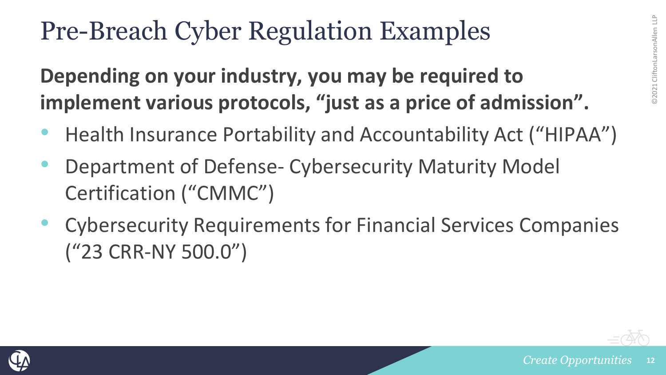#### Pre-Breach Cyber Regulation Examples

**Depending on your industry, you may be required to implement various protocols, "just as a price of admission".**

- Health Insurance Portability and Accountability Act ("HIPAA")
- Department of Defense- Cybersecurity Maturity Model Certification ("CMMC")
- Cybersecurity Requirements for Financial Services Companies ("23 CRR-NY 500.0")



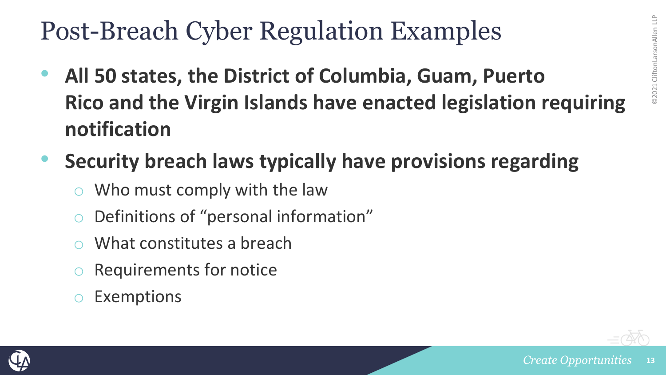#### Post-Breach Cyber Regulation Examples

- **All 50 states, the District of Columbia, Guam, Puerto Rico and the Virgin Islands have enacted legislation requiring notification**
- **Security breach laws typically have provisions regarding**
	- Who must comply with the law
	- Definitions of "personal information"
	- What constitutes a breach
	- Requirements for notice
	- **Exemptions**



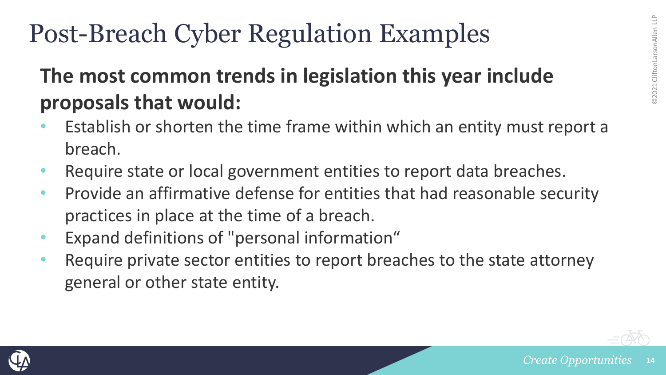#### Post-Breach Cyber Regulation Examples

#### **The most common trends in legislation this year include proposals that would:**

- Establish or shorten the time frame within which an entity must report a breach.
- Require state or local government entities to report data breaches.
- Provide an affirmative defense for entities that had reasonable security practices in place at the time of a breach.
- Expand definitions of "personal information"
- Require private sector entities to report breaches to the state attorney general or other state entity.

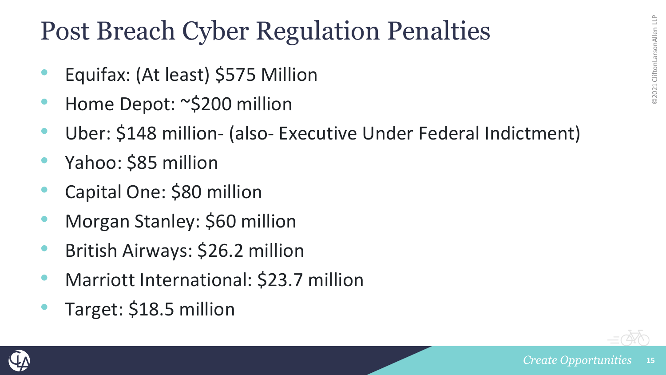#### Post Breach Cyber Regulation Penalties

- Equifax: (At least) \$575 Million
- Home Depot: ~\$200 million
- Uber: \$148 million- (also- Executive Under Federal Indictment)
- Yahoo: \$85 million
- Capital One: \$80 million
- Morgan Stanley: \$60 million
- British Airways: \$26.2 million
- Marriott International: \$23.7 million
- Target: \$18.5 million



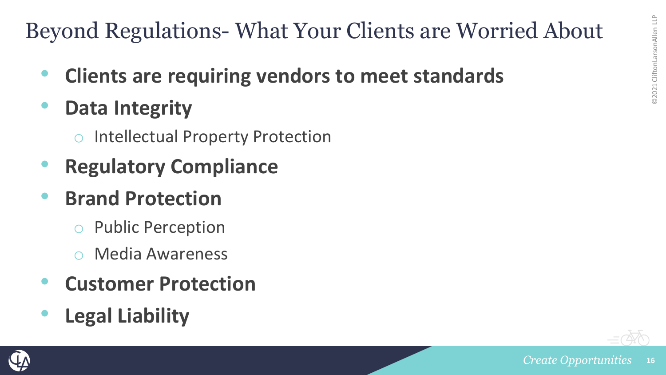#### Beyond Regulations- What Your Clients are Worried About

- **Clients are requiring vendors to meet standards**
- **Data Integrity**
	- **Intellectual Property Protection**
- **Regulatory Compliance**
- **Brand Protection**
	- Public Perception
	- Media Awareness
- **Customer Protection**
- **Legal Liability**



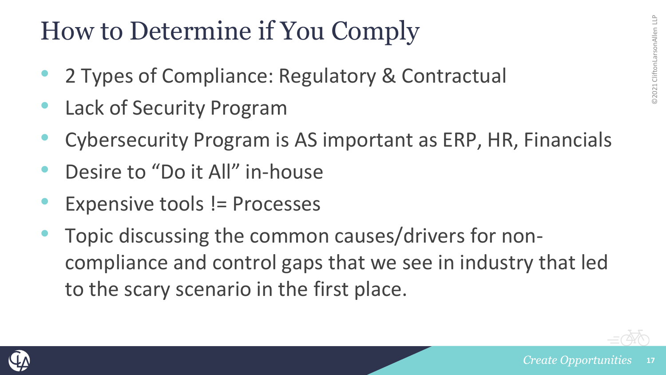#### How to Determine if You Comply

- 2 Types of Compliance: Regulatory & Contractual
- Lack of Security Program
- Cybersecurity Program is AS important as ERP, HR, Financials
- Desire to "Do it All" in-house
- Expensive tools != Processes
- Topic discussing the common causes/drivers for noncompliance and control gaps that we see in industry that led to the scary scenario in the first place.

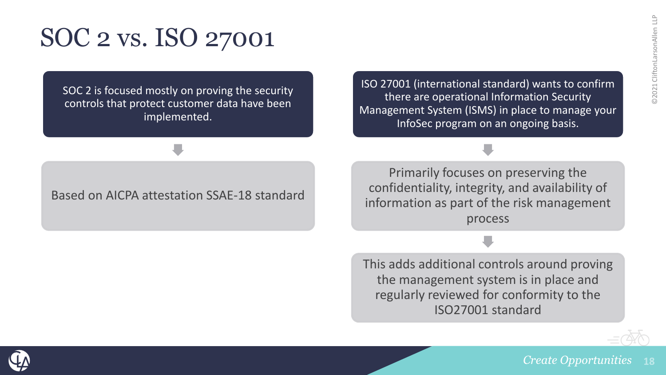#### SOC 2 vs. ISO 27001

SOC 2 is focused mostly on proving the security controls that protect customer data have been implemented.

ISO 27001 (international standard) wants to confirm there are operational Information Security Management System (ISMS) in place to manage your InfoSec program on an ongoing basis.

#### Based on AICPA attestation SSAE-18 standard

Primarily focuses on preserving the confidentiality, integrity, and availability of information as part of the risk management process

This adds additional controls around proving the management system is in place and regularly reviewed for conformity to the ISO27001 standard



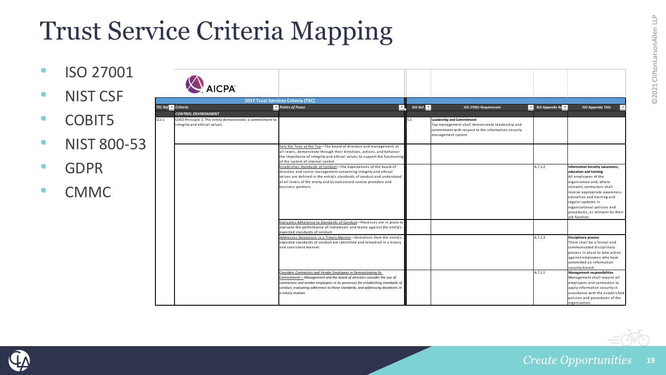## Trust Service Criteria Mapping

• ISO 27001 AICPA • NIST CSF **2017 Trust Services Criteria (TSC) TSC Ref. 1 Criteria ISO Appendix Ref. 2 ISO Ref. 2 ISO Ref. 2 ISO 27001 Requirement ISO Appendix Re ISO Appendix Title** *CONTROL ENVIRONMENT* • COBIT5 CC<sub>1.1</sub> COSO Principle 1: The entity demonstrates a commitment to 5.1 **Leadership and Commitment** ntegrity and ethical values. Top management shall demonstrate leadership and commitment with respect to the information security management system • NIST 800-53 Sets the Tone at the Top—The board of directors and management, at all levels, demonstrate through their directives, actions, and behavior the importance of integrity and ethical values to support the functionin of the system of internal control. • GDPR Establishes Standards of Conduct—The expectations of the board of A.7.2.2 **Information Security awareness,**  directors and senior management concerning integrity and ethical **education and training** values are defined in the entity's standards of conduct and understood All employees of the at all levels of the entity and by outsourced service providers and organization and, where business partners. relevant, contractors shall • CMMC receive appropriate awareness education and training and regular updates in organizational policies and procedures, as relevant for their ob function Evaluates Adherence to Standards of Conduct—Processes are in place to evaluate the performance of individuals and teams against the entity's expected standards of conduct. Addresses Deviations in a Timely Manner—Deviations from the entity's A.7.2.3 **Disciplinary process** expected standards of conduct are identified and remedied in a timely There shall be a formal and and consistent manner. communicated disciplinary process in place to take action against employees who have committed an information security breach. *Considers Contractors and Vendor Employees in Demonstrating Its*  A.7.2.1 **Management responsibilities** *Commitment— Management and the board of directors consider the use of*  Management shall require all *contractors and vendor employees in its processes for establishing standards of*  employees and contractors to *conduct, evaluating adherence to those standards, and addressing deviations in*  apply information security in accordance with the established *a timely manner.*  policies and procedures of the organization.

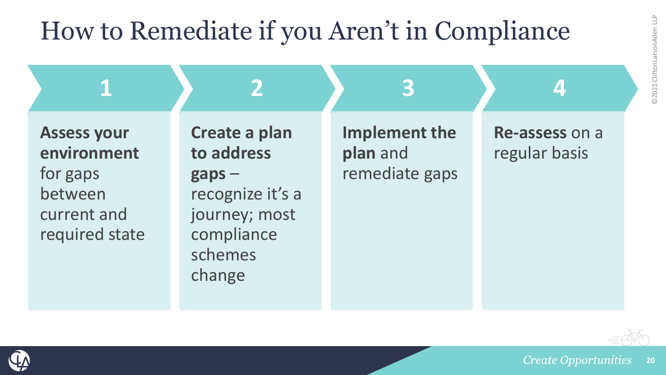# 02021 CliftonLarsonAllen LLP ©2021 CliftonLarsonAllen LLP

#### How to Remediate if you Aren't in Compliance



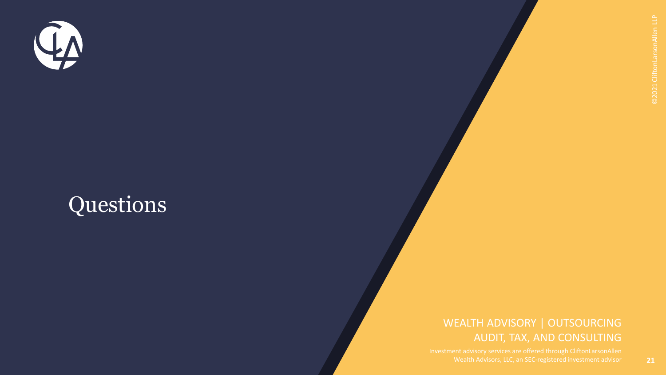

#### Questions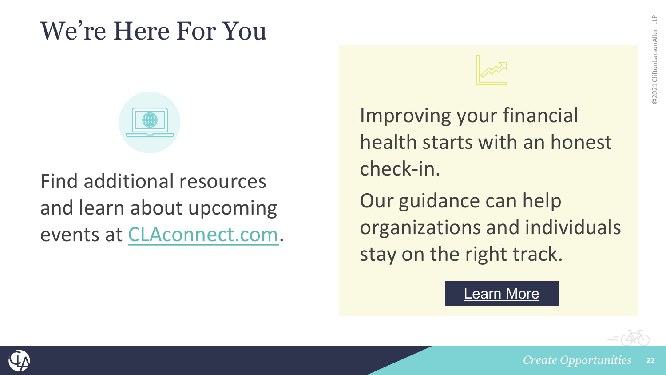#### We're Here For You



#### Find additional resources and learn about upcoming events at [CLAconnect.com](https://www.claconnect.com/).

Improving your financial health starts with an honest check-in. Our guidance can help

organizations and individuals stay on the right track.

#### [Learn More](https://www.claconnect.com/campaign/financial-health-planning)